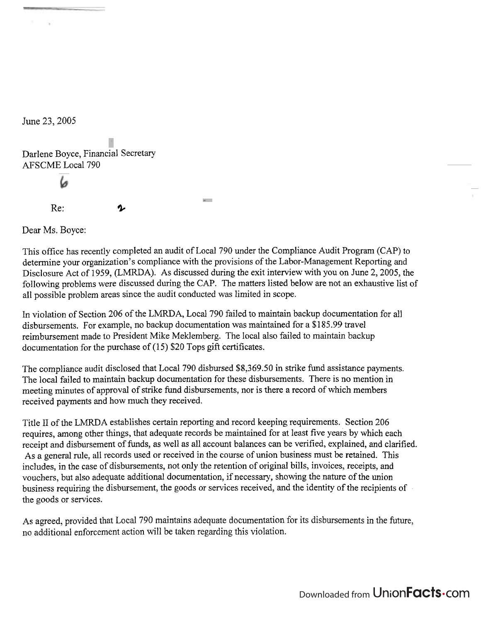June 23,2005

 $\sim$ 

Darlene Boyce, Financial Secretary AFSCME Local 790  $Re:$  2

Dear Ms. Boyce:

This office has recently completed an audit of Local 790 under the Compliance Audit Program (CAP) to determine your organization's compliance with the provisions of the Labor-Management Reporting and Disclosure Act of 1959, (LMRDA). As discussed during the exit interview with you on June 2, 2005, the following problems were discussed during the CAP. The matters listed below are not an exhaustive list of all possible problem areas since the audit conducted was limited in scope.

**Service** 

In violation of Section 206 of the LMRDA, Local 790 failed to maintain backup documentation for all disbursements. For example, no backup documentation was maintained for a \$185.99 travel reimbursement made to President Mike Meklemberg. The local also failed to maintain backup documentation for the purchase of  $(15)$  \$20 Tops gift certificates.

The compliance audit disclosed that Local 790 disbursed \$8,369.50 in strike fund assistance payments. The local failed to maintain backup documentation for these disbursements. There is no mention in meeting minutes of approval of strike fund disbursements, nor is there a record of which members received payments and how much they received.

Title I1 of the LMRDA establishes certain reporting and record keeping requirements. Section 206 requires, among other things, that adequate records be maintained for at least five years by which each receipt and disbursement of funds, as well as all account balances can be verified, explained, and clarified. As a general rule, all records used or received in the course of union business must be retained. This includes, in the case of disbursements, not only the retention of original bills, invoices, receipts, and vouchers, but also adequate additional documentation, if necessary, showing the nature of the union business requiring the disbursement, the goods or services received, and the identity of the recipients of the goods or services.

As agreed, provided that Local 790 maintains adequate documentation for its disbursements in the future, no additional enforcement action will be taken regarding this violation.